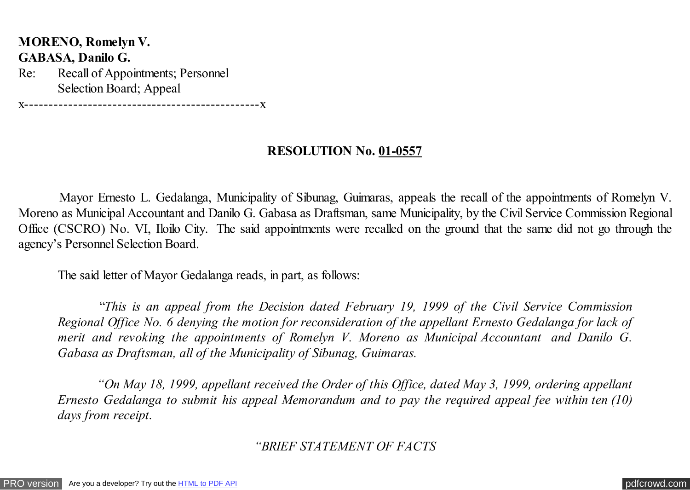**MORENO, Romelyn V. GABASA, Danilo G.** Re: Recall of Appointments; Personnel Selection Board; Appeal

x------------------------------------------------x

# **RESOLUTION No. 01-0557**

Mayor Ernesto L. Gedalanga, Municipality of Sibunag, Guimaras, appeals the recall of the appointments of Romelyn V. Moreno as Municipal Accountant and Danilo G. Gabasa as Draftsman, same Municipality, by the Civil Service Commission Regional Office (CSCRO) No. VI, Iloilo City. The said appointments were recalled on the ground that the same did not go through the agency's Personnel Selection Board.

The said letter of Mayor Gedalanga reads, in part, as follows:

 "*This is an appeal from the Decision dated February 19, 1999 of the Civil Service Commission Regional Office No. 6 denying the motion for reconsideration of the appellant Ernesto Gedalanga for lack of merit and revoking the appointments of Romelyn V. Moreno as Municipal Accountant and Danilo G. Gabasa as Draftsman, all of the Municipality of Sibunag, Guimaras.*

*"On May 18, 1999, appellant received the Order of this Office, dated May 3, 1999, ordering appellant Ernesto Gedalanga to submit his appeal Memorandum and to pay the required appeal fee within ten (10) days from receipt.*

*"BRIEF STATEMENT OF FACTS*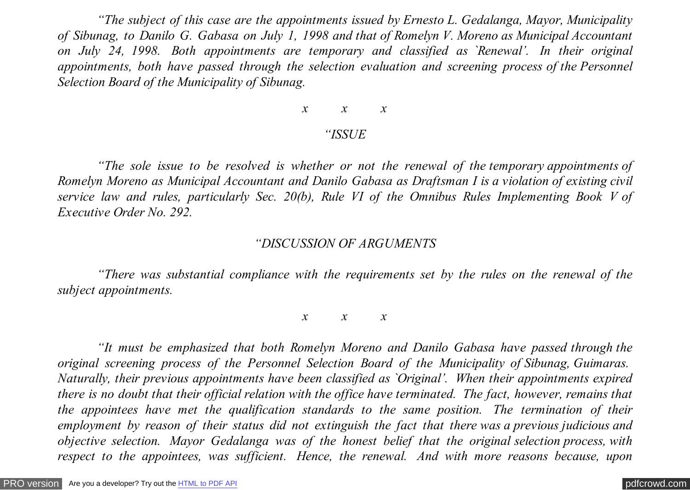*"The subject of this case are the appointments issued by Ernesto L. Gedalanga, Mayor, Municipality of Sibunag, to Danilo G. Gabasa on July 1, 1998 and that of Romelyn V. Moreno as Municipal Accountant on July 24, 1998. Both appointments are temporary and classified as `Renewal'. In their original appointments, both have passed through the selection evaluation and screening process of the Personnel Selection Board of the Municipality of Sibunag.*

# *x x x*

### *"ISSUE*

*"The sole issue to be resolved is whether or not the renewal of the temporary appointments of Romelyn Moreno as Municipal Accountant and Danilo Gabasa as Draftsman I is a violation of existing civil service law and rules, particularly Sec. 20(b), Rule VI of the Omnibus Rules Implementing Book V of Executive Order No. 292.*

#### *"DISCUSSION OF ARGUMENTS*

*"There was substantial compliance with the requirements set by the rules on the renewal of the subject appointments.*

*x x x*

*"It must be emphasized that both Romelyn Moreno and Danilo Gabasa have passed through the original screening process of the Personnel Selection Board of the Municipality of Sibunag, Guimaras. Naturally, their previous appointments have been classified as `Original'. When their appointments expired there is no doubt that their official relation with the office have terminated. The fact, however, remains that the appointees have met the qualification standards to the same position. The termination of their employment by reason of their status did not extinguish the fact that there was a previous judicious and objective selection. Mayor Gedalanga was of the honest belief that the original selection process, with respect to the appointees, was sufficient. Hence, the renewal. And with more reasons because, upon*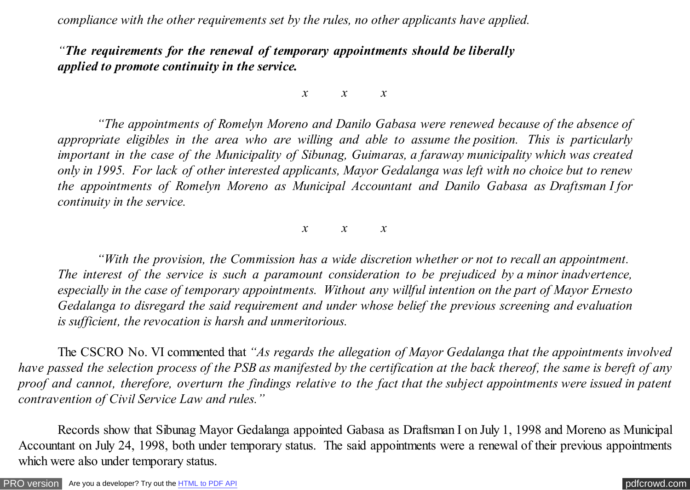*compliance with the other requirements set by the rules, no other applicants have applied.*

*"The requirements for the renewal of temporary appointments should be liberally applied to promote continuity in the service.*

*x x x*

*"The appointments of Romelyn Moreno and Danilo Gabasa were renewed because of the absence of appropriate eligibles in the area who are willing and able to assume the position. This is particularly important in the case of the Municipality of Sibunag, Guimaras, a faraway municipality which was created only in 1995. For lack of other interested applicants, Mayor Gedalanga was left with no choice but to renew the appointments of Romelyn Moreno as Municipal Accountant and Danilo Gabasa as Draftsman I for continuity in the service.*

*x x x*

*"With the provision, the Commission has a wide discretion whether or not to recall an appointment. The interest of the service is such a paramount consideration to be prejudiced by a minor inadvertence, especially in the case of temporary appointments. Without any willful intention on the part of Mayor Ernesto Gedalanga to disregard the said requirement and under whose belief the previous screening and evaluation is sufficient, the revocation is harsh and unmeritorious.*

 The CSCRO No. VI commented that *"As regards the allegation of Mayor Gedalanga that the appointments involved have passed the selection process of the PSB as manifested by the certification at the back thereof, the same is bereft of any proof and cannot, therefore, overturn the findings relative to the fact that the subject appointments were issued in patent contravention of Civil Service Law and rules."*

 Records show that Sibunag Mayor Gedalanga appointed Gabasa as Draftsman I on July 1, 1998 and Moreno as Municipal Accountant on July 24, 1998, both under temporary status. The said appointments were a renewal of their previous appointments which were also under temporary status.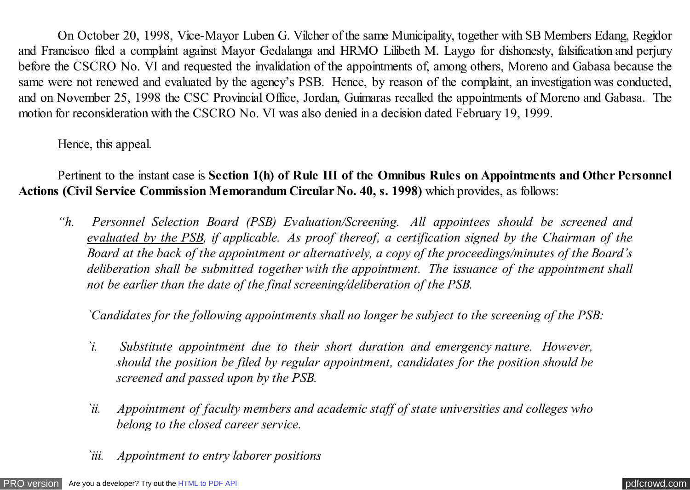On October 20, 1998, Vice-Mayor Luben G. Vilcher of the same Municipality, together with SB Members Edang, Regidor and Francisco filed a complaint against Mayor Gedalanga and HRMO Lilibeth M. Laygo for dishonesty, falsification and perjury before the CSCRO No. VI and requested the invalidation of the appointments of, among others, Moreno and Gabasa because the same were not renewed and evaluated by the agency's PSB. Hence, by reason of the complaint, an investigation was conducted, and on November 25, 1998 the CSC Provincial Office, Jordan, Guimaras recalled the appointments of Moreno and Gabasa. The motion for reconsideration with the CSCRO No. VI was also denied in a decision dated February 19, 1999.

Hence, this appeal.

Pertinent to the instant case is **Section 1(h) of Rule III of the Omnibus Rules on Appointments and Other Personnel Actions (Civil Service Commission Memorandum Circular No. 40, s. 1998)** which provides, as follows:

*"h. Personnel Selection Board (PSB) Evaluation/Screening. All appointees should be screened and evaluated by the PSB, if applicable. As proof thereof, a certification signed by the Chairman of the Board at the back of the appointment or alternatively, a copy of the proceedings/minutes of the Board's deliberation shall be submitted together with the appointment. The issuance of the appointment shall not be earlier than the date of the final screening/deliberation of the PSB.*

*`Candidates for the following appointments shall no longer be subject to the screening of the PSB:*

- *`i. Substitute appointment due to their short duration and emergency nature. However, should the position be filed by regular appointment, candidates for the position should be screened and passed upon by the PSB.*
- *`ii. Appointment of faculty members and academic staff of state universities and colleges who belong to the closed career service.*
- *`iii. Appointment to entry laborer positions*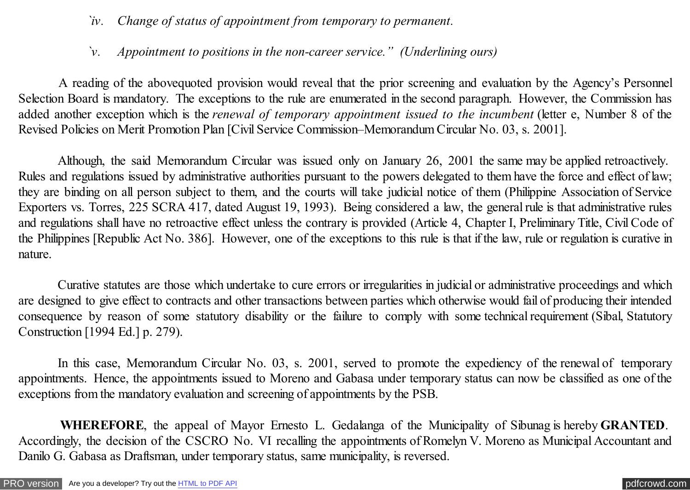- *`iv. Change of status of appointment from temporary to permanent.*
- *`v. Appointment to positions in the non-career service." (Underlining ours)*

 A reading of the abovequoted provision would reveal that the prior screening and evaluation by the Agency's Personnel Selection Board is mandatory. The exceptions to the rule are enumerated in the second paragraph. However, the Commission has added another exception which is the *renewal of temporary appointment issued to the incumbent* (letter e, Number 8 of the Revised Policies on Merit Promotion Plan [Civil Service Commission–Memorandum Circular No. 03, s. 2001].

Although, the said Memorandum Circular was issued only on January 26, 2001 the same may be applied retroactively. Rules and regulations issued by administrative authorities pursuant to the powers delegated to them have the force and effect of law; they are binding on all person subject to them, and the courts will take judicial notice of them (Philippine Association of Service Exporters vs. Torres, 225 SCRA 417, dated August 19, 1993). Being considered a law, the general rule is that administrative rules and regulations shall have no retroactive effect unless the contrary is provided (Article 4, Chapter I, Preliminary Title, Civil Code of the Philippines [Republic Act No. 386]. However, one of the exceptions to this rule is that if the law, rule or regulation is curative in nature.

Curative statutes are those which undertake to cure errors or irregularities in judicial or administrative proceedings and which are designed to give effect to contracts and other transactions between parties which otherwise would fail of producing their intended consequence by reason of some statutory disability or the failure to comply with some technical requirement (Sibal, Statutory Construction [1994 Ed.] p. 279).

In this case, Memorandum Circular No. 03, s. 2001, served to promote the expediency of the renewal of temporary appointments. Hence, the appointments issued to Moreno and Gabasa under temporary status can now be classified as one of the exceptions from the mandatory evaluation and screening of appointments by the PSB.

 **WHEREFORE**, the appeal of Mayor Ernesto L. Gedalanga of the Municipality of Sibunag is hereby **GRANTED**. Accordingly, the decision of the CSCRO No. VI recalling the appointments of Romelyn V. Moreno as Municipal Accountant and Danilo G. Gabasa as Draftsman, under temporary status, same municipality, is reversed.